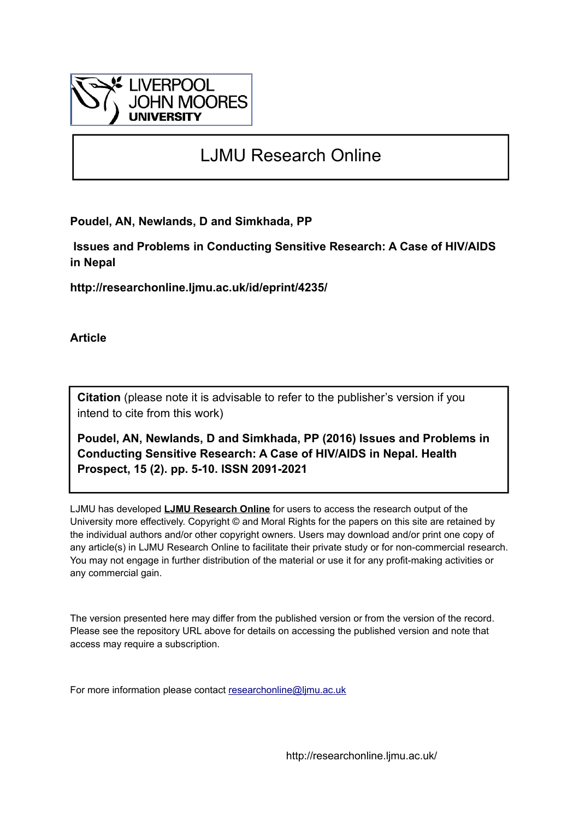

# LJMU Research Online

**Poudel, AN, Newlands, D and Simkhada, PP**

 **Issues and Problems in Conducting Sensitive Research: A Case of HIV/AIDS in Nepal**

**http://researchonline.ljmu.ac.uk/id/eprint/4235/**

**Article**

**Citation** (please note it is advisable to refer to the publisher's version if you intend to cite from this work)

**Poudel, AN, Newlands, D and Simkhada, PP (2016) Issues and Problems in Conducting Sensitive Research: A Case of HIV/AIDS in Nepal. Health Prospect, 15 (2). pp. 5-10. ISSN 2091-2021** 

LJMU has developed **[LJMU Research Online](http://researchonline.ljmu.ac.uk/)** for users to access the research output of the University more effectively. Copyright © and Moral Rights for the papers on this site are retained by the individual authors and/or other copyright owners. Users may download and/or print one copy of any article(s) in LJMU Research Online to facilitate their private study or for non-commercial research. You may not engage in further distribution of the material or use it for any profit-making activities or any commercial gain.

The version presented here may differ from the published version or from the version of the record. Please see the repository URL above for details on accessing the published version and note that access may require a subscription.

For more information please contact [researchonline@ljmu.ac.uk](mailto:researchonline@ljmu.ac.uk)

http://researchonline.ljmu.ac.uk/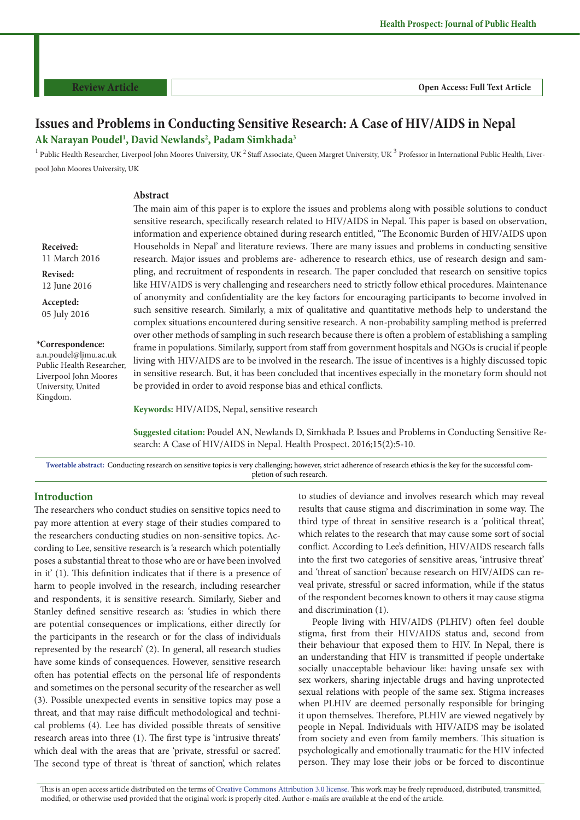|  |  | . с |
|--|--|-----|
|  |  |     |
|  |  |     |

**Open Access: Full Text Article** 

# **Ak Narayan Poudel1 , David Newlands2 , Padam Simkhada3 Issues and Problems in Conducting Sensitive Research: A Case of HIV/AIDS in Nepal**

 $^1$  Public Health Researcher, Liverpool John Moores University, UK<sup>2</sup> Staff Associate, Queen Margret University, UK<sup>3</sup> Professor in International Public Health, Liverpool John Moores University, UK

#### **Abstract**

**Received:**  11 March 2016

**Revised:** 12 June 2016

**Accepted:**  05 July 2016

**\*Correspondence:**

a.n.poudel@ljmu.ac.uk Public Health Researcher, Liverpool John Moores University, United Kingdom.

The main aim of this paper is to explore the issues and problems along with possible solutions to conduct sensitive research, specifically research related to HIV/AIDS in Nepal. This paper is based on observation, information and experience obtained during research entitled, "The Economic Burden of HIV/AIDS upon Households in Nepal' and literature reviews. There are many issues and problems in conducting sensitive research. Major issues and problems are- adherence to research ethics, use of research design and sampling, and recruitment of respondents in research. The paper concluded that research on sensitive topics like HIV/AIDS is very challenging and researchers need to strictly follow ethical procedures. Maintenance of anonymity and confidentiality are the key factors for encouraging participants to become involved in such sensitive research. Similarly, a mix of qualitative and quantitative methods help to understand the complex situations encountered during sensitive research. A non-probability sampling method is preferred over other methods of sampling in such research because there is often a problem of establishing a sampling frame in populations. Similarly, support from staff from government hospitals and NGOs is crucial if people living with HIV/AIDS are to be involved in the research. The issue of incentives is a highly discussed topic in sensitive research. But, it has been concluded that incentives especially in the monetary form should not be provided in order to avoid response bias and ethical conflicts.

**Keywords:** HIV/AIDS, Nepal, sensitive research

**Suggested citation:** Poudel AN, Newlands D, Simkhada P. Issues and Problems in Conducting Sensitive Research: A Case of HIV/AIDS in Nepal. Health Prospect. 2016;15(2):5-10.

**Tweetable abstract:** Conducting research on sensitive topics is very challenging; however, strict adherence of research ethics is the key for the successful completion of such research.

### **Introduction**

The researchers who conduct studies on sensitive topics need to pay more attention at every stage of their studies compared to the researchers conducting studies on non-sensitive topics. According to Lee, sensitive research is 'a research which potentially poses a substantial threat to those who are or have been involved in it' (1). This definition indicates that if there is a presence of harm to people involved in the research, including researcher and respondents, it is sensitive research. Similarly, Sieber and Stanley defined sensitive research as: 'studies in which there are potential consequences or implications, either directly for the participants in the research or for the class of individuals represented by the research' (2). In general, all research studies have some kinds of consequences. However, sensitive research often has potential effects on the personal life of respondents and sometimes on the personal security of the researcher as well (3). Possible unexpected events in sensitive topics may pose a threat, and that may raise difficult methodological and technical problems (4). Lee has divided possible threats of sensitive research areas into three (1). The first type is 'intrusive threats' which deal with the areas that are 'private, stressful or sacred'. The second type of threat is 'threat of sanction', which relates

to studies of deviance and involves research which may reveal results that cause stigma and discrimination in some way. The third type of threat in sensitive research is a 'political threat', which relates to the research that may cause some sort of social conflict. According to Lee's definition, HIV/AIDS research falls into the first two categories of sensitive areas, 'intrusive threat' and 'threat of sanction' because research on HIV/AIDS can reveal private, stressful or sacred information, while if the status of the respondent becomes known to others it may cause stigma and discrimination (1).

People living with HIV/AIDS (PLHIV) often feel double stigma, first from their HIV/AIDS status and, second from their behaviour that exposed them to HIV. In Nepal, there is an understanding that HIV is transmitted if people undertake socially unacceptable behaviour like: having unsafe sex with sex workers, sharing injectable drugs and having unprotected sexual relations with people of the same sex. Stigma increases when PLHIV are deemed personally responsible for bringing it upon themselves. Therefore, PLHIV are viewed negatively by people in Nepal. Individuals with HIV/AIDS may be isolated from society and even from family members. This situation is psychologically and emotionally traumatic for the HIV infected person. They may lose their jobs or be forced to discontinue

This is an open access article distributed on the terms of Creative Commons Attribution 3.0 license. This work may be freely reproduced, distributed, transmitted, modified, or otherwise used provided that the original work is properly cited. Author e-mails are available at the end of the article.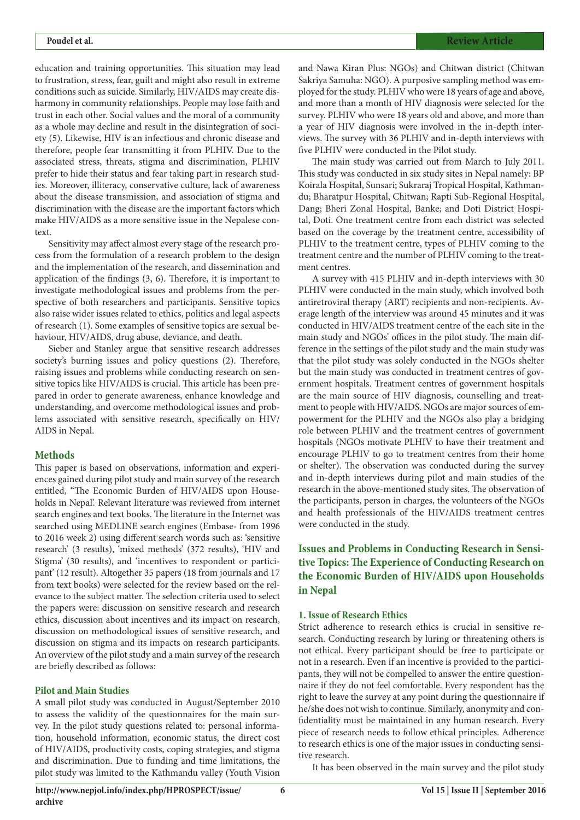education and training opportunities. This situation may lead to frustration, stress, fear, guilt and might also result in extreme conditions such as suicide. Similarly, HIV/AIDS may create disharmony in community relationships. People may lose faith and trust in each other. Social values and the moral of a community as a whole may decline and result in the disintegration of society (5). Likewise, HIV is an infectious and chronic disease and therefore, people fear transmitting it from PLHIV. Due to the associated stress, threats, stigma and discrimination, PLHIV prefer to hide their status and fear taking part in research studies. Moreover, illiteracy, conservative culture, lack of awareness about the disease transmission, and association of stigma and discrimination with the disease are the important factors which make HIV/AIDS as a more sensitive issue in the Nepalese context.

Sensitivity may affect almost every stage of the research process from the formulation of a research problem to the design and the implementation of the research, and dissemination and application of the findings (3, 6). Therefore, it is important to investigate methodological issues and problems from the perspective of both researchers and participants. Sensitive topics also raise wider issues related to ethics, politics and legal aspects of research (1). Some examples of sensitive topics are sexual behaviour, HIV/AIDS, drug abuse, deviance, and death.

Sieber and Stanley argue that sensitive research addresses society's burning issues and policy questions (2). Therefore, raising issues and problems while conducting research on sensitive topics like HIV/AIDS is crucial. This article has been prepared in order to generate awareness, enhance knowledge and understanding, and overcome methodological issues and problems associated with sensitive research, specifically on HIV/ AIDS in Nepal.

## **Methods**

This paper is based on observations, information and experiences gained during pilot study and main survey of the research entitled, "The Economic Burden of HIV/AIDS upon Households in Nepal'. Relevant literature was reviewed from internet search engines and text books. The literature in the Internet was searched using MEDLINE search engines (Embase- from 1996 to 2016 week 2) using different search words such as: 'sensitive research' (3 results), 'mixed methods' (372 results), 'HIV and Stigma' (30 results), and 'incentives to respondent or participant' (12 result). Altogether 35 papers (18 from journals and 17 from text books) were selected for the review based on the relevance to the subject matter. The selection criteria used to select the papers were: discussion on sensitive research and research ethics, discussion about incentives and its impact on research, discussion on methodological issues of sensitive research, and discussion on stigma and its impacts on research participants. An overview of the pilot study and a main survey of the research are briefly described as follows:

#### **Pilot and Main Studies**

A small pilot study was conducted in August/September 2010 to assess the validity of the questionnaires for the main survey. In the pilot study questions related to: personal information, household information, economic status, the direct cost of HIV/AIDS, productivity costs, coping strategies, and stigma and discrimination. Due to funding and time limitations, the pilot study was limited to the Kathmandu valley (Youth Vision

and Nawa Kiran Plus: NGOs) and Chitwan district (Chitwan Sakriya Samuha: NGO). A purposive sampling method was employed for the study. PLHIV who were 18 years of age and above, and more than a month of HIV diagnosis were selected for the survey. PLHIV who were 18 years old and above, and more than a year of HIV diagnosis were involved in the in-depth interviews. The survey with 36 PLHIV and in-depth interviews with five PLHIV were conducted in the Pilot study.

The main study was carried out from March to July 2011. This study was conducted in six study sites in Nepal namely: BP Koirala Hospital, Sunsari; Sukraraj Tropical Hospital, Kathmandu; Bharatpur Hospital, Chitwan; Rapti Sub-Regional Hospital, Dang; Bheri Zonal Hospital, Banke; and Doti District Hospital, Doti. One treatment centre from each district was selected based on the coverage by the treatment centre, accessibility of PLHIV to the treatment centre, types of PLHIV coming to the treatment centre and the number of PLHIV coming to the treatment centres.

A survey with 415 PLHIV and in-depth interviews with 30 PLHIV were conducted in the main study, which involved both antiretroviral therapy (ART) recipients and non-recipients. Average length of the interview was around 45 minutes and it was conducted in HIV/AIDS treatment centre of the each site in the main study and NGOs' offices in the pilot study. The main difference in the settings of the pilot study and the main study was that the pilot study was solely conducted in the NGOs shelter but the main study was conducted in treatment centres of government hospitals. Treatment centres of government hospitals are the main source of HIV diagnosis, counselling and treatment to people with HIV/AIDS. NGOs are major sources of empowerment for the PLHIV and the NGOs also play a bridging role between PLHIV and the treatment centres of government hospitals (NGOs motivate PLHIV to have their treatment and encourage PLHIV to go to treatment centres from their home or shelter). The observation was conducted during the survey and in-depth interviews during pilot and main studies of the research in the above-mentioned study sites. The observation of the participants, person in charges, the volunteers of the NGOs and health professionals of the HIV/AIDS treatment centres were conducted in the study.

# **Issues and Problems in Conducting Research in Sensitive Topics: The Experience of Conducting Research on the Economic Burden of HIV/AIDS upon Households in Nepal**

# **1. Issue of Research Ethics**

Strict adherence to research ethics is crucial in sensitive research. Conducting research by luring or threatening others is not ethical. Every participant should be free to participate or not in a research. Even if an incentive is provided to the participants, they will not be compelled to answer the entire questionnaire if they do not feel comfortable. Every respondent has the right to leave the survey at any point during the questionnaire if he/she does not wish to continue. Similarly, anonymity and confidentiality must be maintained in any human research. Every piece of research needs to follow ethical principles. Adherence to research ethics is one of the major issues in conducting sensitive research.

It has been observed in the main survey and the pilot study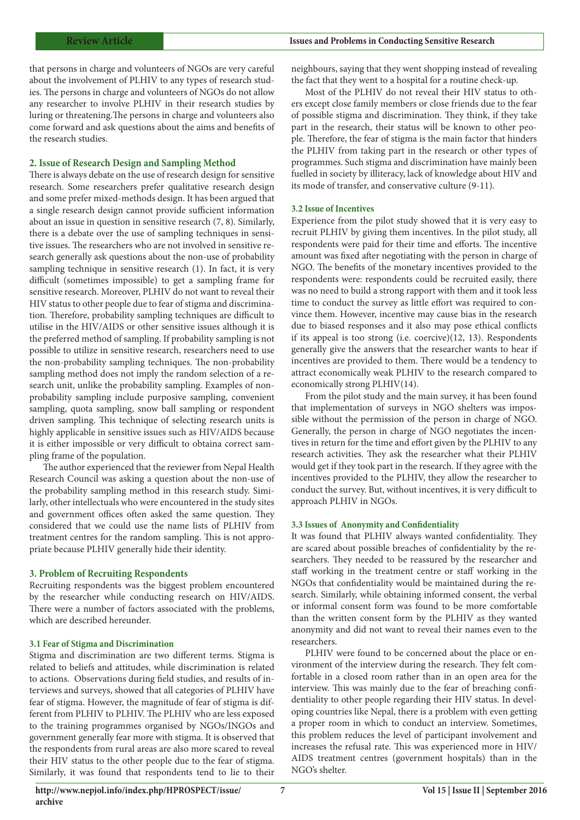that persons in charge and volunteers of NGOs are very careful about the involvement of PLHIV to any types of research studies. The persons in charge and volunteers of NGOs do not allow any researcher to involve PLHIV in their research studies by luring or threatening.The persons in charge and volunteers also come forward and ask questions about the aims and benefits of the research studies.

# **2. Issue of Research Design and Sampling Method**

There is always debate on the use of research design for sensitive research. Some researchers prefer qualitative research design and some prefer mixed-methods design. It has been argued that a single research design cannot provide sufficient information about an issue in question in sensitive research (7, 8). Similarly, there is a debate over the use of sampling techniques in sensitive issues. The researchers who are not involved in sensitive research generally ask questions about the non-use of probability sampling technique in sensitive research (1). In fact, it is very difficult (sometimes impossible) to get a sampling frame for sensitive research. Moreover, PLHIV do not want to reveal their HIV status to other people due to fear of stigma and discrimination. Therefore, probability sampling techniques are difficult to utilise in the HIV/AIDS or other sensitive issues although it is the preferred method of sampling. If probability sampling is not possible to utilize in sensitive research, researchers need to use the non-probability sampling techniques. The non-probability sampling method does not imply the random selection of a research unit, unlike the probability sampling. Examples of nonprobability sampling include purposive sampling, convenient sampling, quota sampling, snow ball sampling or respondent driven sampling. This technique of selecting research units is highly applicable in sensitive issues such as HIV/AIDS because it is either impossible or very difficult to obtaina correct sampling frame of the population.

The author experienced that the reviewer from Nepal Health Research Council was asking a question about the non-use of the probability sampling method in this research study. Similarly, other intellectuals who were encountered in the study sites and government offices often asked the same question. They considered that we could use the name lists of PLHIV from treatment centres for the random sampling. This is not appropriate because PLHIV generally hide their identity.

## **3. Problem of Recruiting Respondents**

Recruiting respondents was the biggest problem encountered by the researcher while conducting research on HIV/AIDS. There were a number of factors associated with the problems, which are described hereunder.

## **3.1 Fear of Stigma and Discrimination**

Stigma and discrimination are two different terms. Stigma is related to beliefs and attitudes, while discrimination is related to actions. Observations during field studies, and results of interviews and surveys, showed that all categories of PLHIV have fear of stigma. However, the magnitude of fear of stigma is different from PLHIV to PLHIV. The PLHIV who are less exposed to the training programmes organised by NGOs/INGOs and government generally fear more with stigma. It is observed that the respondents from rural areas are also more scared to reveal their HIV status to the other people due to the fear of stigma. Similarly, it was found that respondents tend to lie to their

neighbours, saying that they went shopping instead of revealing the fact that they went to a hospital for a routine check-up.

Most of the PLHIV do not reveal their HIV status to others except close family members or close friends due to the fear of possible stigma and discrimination. They think, if they take part in the research, their status will be known to other people. Therefore, the fear of stigma is the main factor that hinders the PLHIV from taking part in the research or other types of programmes. Such stigma and discrimination have mainly been fuelled in society by illiteracy, lack of knowledge about HIV and its mode of transfer, and conservative culture (9-11).

#### **3.2 Issue of Incentives**

Experience from the pilot study showed that it is very easy to recruit PLHIV by giving them incentives. In the pilot study, all respondents were paid for their time and efforts. The incentive amount was fixed after negotiating with the person in charge of NGO. The benefits of the monetary incentives provided to the respondents were: respondents could be recruited easily, there was no need to build a strong rapport with them and it took less time to conduct the survey as little effort was required to convince them. However, incentive may cause bias in the research due to biased responses and it also may pose ethical conflicts if its appeal is too strong (i.e. coercive)(12, 13). Respondents generally give the answers that the researcher wants to hear if incentives are provided to them. There would be a tendency to attract economically weak PLHIV to the research compared to economically strong PLHIV(14).

From the pilot study and the main survey, it has been found that implementation of surveys in NGO shelters was impossible without the permission of the person in charge of NGO. Generally, the person in charge of NGO negotiates the incentives in return for the time and effort given by the PLHIV to any research activities. They ask the researcher what their PLHIV would get if they took part in the research. If they agree with the incentives provided to the PLHIV, they allow the researcher to conduct the survey. But, without incentives, it is very difficult to approach PLHIV in NGOs.

## **3.3 Issues of Anonymity and Confidentiality**

It was found that PLHIV always wanted confidentiality. They are scared about possible breaches of confidentiality by the researchers. They needed to be reassured by the researcher and staff working in the treatment centre or staff working in the NGOs that confidentiality would be maintained during the research. Similarly, while obtaining informed consent, the verbal or informal consent form was found to be more comfortable than the written consent form by the PLHIV as they wanted anonymity and did not want to reveal their names even to the researchers.

PLHIV were found to be concerned about the place or environment of the interview during the research. They felt comfortable in a closed room rather than in an open area for the interview. This was mainly due to the fear of breaching confidentiality to other people regarding their HIV status. In developing countries like Nepal, there is a problem with even getting a proper room in which to conduct an interview. Sometimes, this problem reduces the level of participant involvement and increases the refusal rate. This was experienced more in HIV/ AIDS treatment centres (government hospitals) than in the NGO's shelter.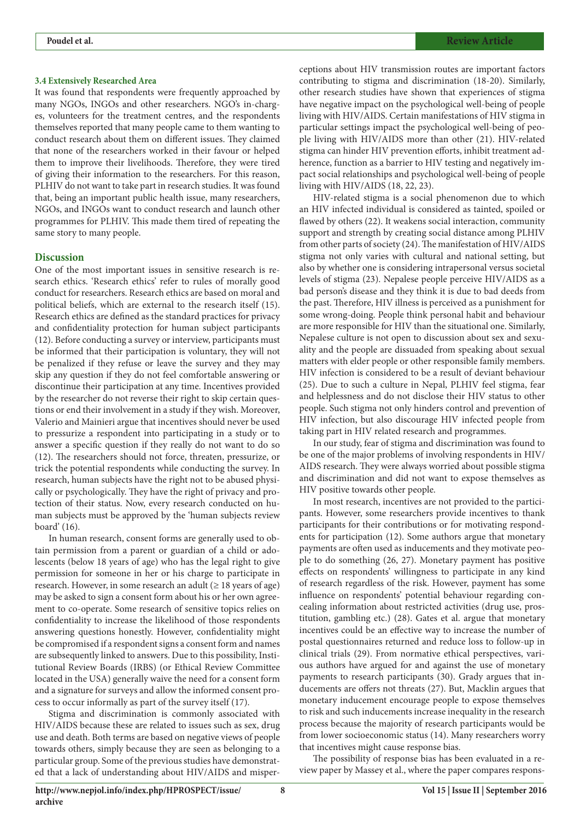#### **3.4 Extensively Researched Area**

It was found that respondents were frequently approached by many NGOs, INGOs and other researchers. NGO's in-charges, volunteers for the treatment centres, and the respondents themselves reported that many people came to them wanting to conduct research about them on different issues. They claimed that none of the researchers worked in their favour or helped them to improve their livelihoods. Therefore, they were tired of giving their information to the researchers. For this reason, PLHIV do not want to take part in research studies. It was found that, being an important public health issue, many researchers, NGOs, and INGOs want to conduct research and launch other programmes for PLHIV. This made them tired of repeating the same story to many people.

## **Discussion**

One of the most important issues in sensitive research is research ethics. 'Research ethics' refer to rules of morally good conduct for researchers. Research ethics are based on moral and political beliefs, which are external to the research itself (15). Research ethics are defined as the standard practices for privacy and confidentiality protection for human subject participants (12). Before conducting a survey or interview, participants must be informed that their participation is voluntary, they will not be penalized if they refuse or leave the survey and they may skip any question if they do not feel comfortable answering or discontinue their participation at any time. Incentives provided by the researcher do not reverse their right to skip certain questions or end their involvement in a study if they wish. Moreover, Valerio and Mainieri argue that incentives should never be used to pressurize a respondent into participating in a study or to answer a specific question if they really do not want to do so (12). The researchers should not force, threaten, pressurize, or trick the potential respondents while conducting the survey. In research, human subjects have the right not to be abused physically or psychologically. They have the right of privacy and protection of their status. Now, every research conducted on human subjects must be approved by the 'human subjects review board' (16).

In human research, consent forms are generally used to obtain permission from a parent or guardian of a child or adolescents (below 18 years of age) who has the legal right to give permission for someone in her or his charge to participate in research. However, in some research an adult ( $\geq 18$  years of age) may be asked to sign a consent form about his or her own agreement to co-operate. Some research of sensitive topics relies on confidentiality to increase the likelihood of those respondents answering questions honestly. However, confidentiality might be compromised if a respondent signs a consent form and names are subsequently linked to answers. Due to this possibility, Institutional Review Boards (IRBS) (or Ethical Review Committee located in the USA) generally waive the need for a consent form and a signature for surveys and allow the informed consent process to occur informally as part of the survey itself (17).

Stigma and discrimination is commonly associated with HIV/AIDS because these are related to issues such as sex, drug use and death. Both terms are based on negative views of people towards others, simply because they are seen as belonging to a particular group. Some of the previous studies have demonstrated that a lack of understanding about HIV/AIDS and misperceptions about HIV transmission routes are important factors contributing to stigma and discrimination (18-20). Similarly, other research studies have shown that experiences of stigma have negative impact on the psychological well-being of people living with HIV/AIDS. Certain manifestations of HIV stigma in particular settings impact the psychological well-being of people living with HIV/AIDS more than other (21). HIV-related stigma can hinder HIV prevention efforts, inhibit treatment adherence, function as a barrier to HIV testing and negatively impact social relationships and psychological well-being of people living with HIV/AIDS (18, 22, 23).

HIV-related stigma is a social phenomenon due to which an HIV infected individual is considered as tainted, spoiled or flawed by others (22). It weakens social interaction, community support and strength by creating social distance among PLHIV from other parts of society (24). The manifestation of HIV/AIDS stigma not only varies with cultural and national setting, but also by whether one is considering intrapersonal versus societal levels of stigma (23). Nepalese people perceive HIV/AIDS as a bad person's disease and they think it is due to bad deeds from the past. Therefore, HIV illness is perceived as a punishment for some wrong-doing. People think personal habit and behaviour are more responsible for HIV than the situational one. Similarly, Nepalese culture is not open to discussion about sex and sexuality and the people are dissuaded from speaking about sexual matters with elder people or other responsible family members. HIV infection is considered to be a result of deviant behaviour (25). Due to such a culture in Nepal, PLHIV feel stigma, fear and helplessness and do not disclose their HIV status to other people. Such stigma not only hinders control and prevention of HIV infection, but also discourage HIV infected people from taking part in HIV related research and programmes.

In our study, fear of stigma and discrimination was found to be one of the major problems of involving respondents in HIV/ AIDS research. They were always worried about possible stigma and discrimination and did not want to expose themselves as HIV positive towards other people.

In most research, incentives are not provided to the participants. However, some researchers provide incentives to thank participants for their contributions or for motivating respondents for participation (12). Some authors argue that monetary payments are often used as inducements and they motivate people to do something (26, 27). Monetary payment has positive effects on respondents' willingness to participate in any kind of research regardless of the risk. However, payment has some influence on respondents' potential behaviour regarding concealing information about restricted activities (drug use, prostitution, gambling etc.) (28). Gates et al. argue that monetary incentives could be an effective way to increase the number of postal questionnaires returned and reduce loss to follow-up in clinical trials (29). From normative ethical perspectives, various authors have argued for and against the use of monetary payments to research participants (30). Grady argues that inducements are offers not threats (27). But, Macklin argues that monetary inducement encourage people to expose themselves to risk and such inducements increase inequality in the research process because the majority of research participants would be from lower socioeconomic status (14). Many researchers worry that incentives might cause response bias.

The possibility of response bias has been evaluated in a review paper by Massey et al., where the paper compares respons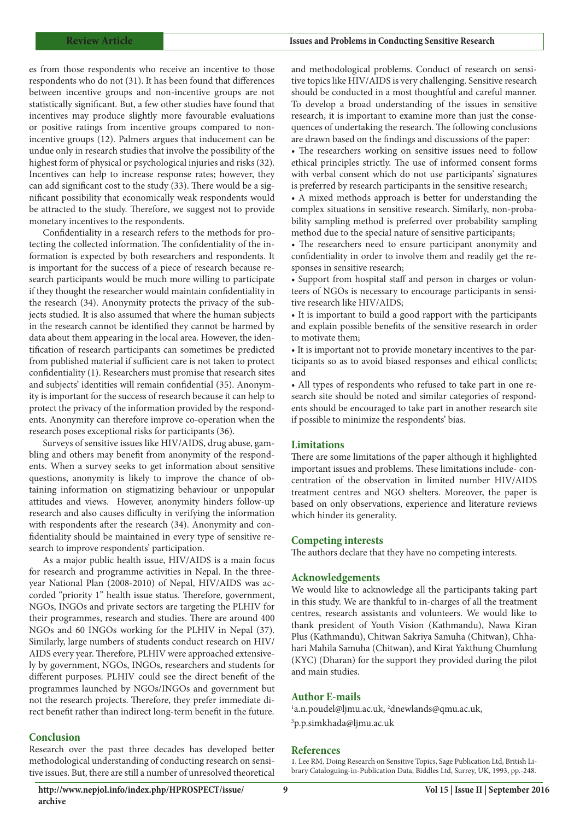es from those respondents who receive an incentive to those respondents who do not (31). It has been found that differences between incentive groups and non-incentive groups are not statistically significant. But, a few other studies have found that incentives may produce slightly more favourable evaluations or positive ratings from incentive groups compared to nonincentive groups (12). Palmers argues that inducement can be undue only in research studies that involve the possibility of the highest form of physical or psychological injuries and risks (32). Incentives can help to increase response rates; however, they can add significant cost to the study (33). There would be a significant possibility that economically weak respondents would be attracted to the study. Therefore, we suggest not to provide monetary incentives to the respondents.

Confidentiality in a research refers to the methods for protecting the collected information. The confidentiality of the information is expected by both researchers and respondents. It is important for the success of a piece of research because research participants would be much more willing to participate if they thought the researcher would maintain confidentiality in the research (34). Anonymity protects the privacy of the subjects studied. It is also assumed that where the human subjects in the research cannot be identified they cannot be harmed by data about them appearing in the local area. However, the identification of research participants can sometimes be predicted from published material if sufficient care is not taken to protect confidentiality (1). Researchers must promise that research sites and subjects' identities will remain confidential (35). Anonymity is important for the success of research because it can help to protect the privacy of the information provided by the respondents. Anonymity can therefore improve co-operation when the research poses exceptional risks for participants (36).

Surveys of sensitive issues like HIV/AIDS, drug abuse, gambling and others may benefit from anonymity of the respondents. When a survey seeks to get information about sensitive questions, anonymity is likely to improve the chance of obtaining information on stigmatizing behaviour or unpopular attitudes and views. However, anonymity hinders follow-up research and also causes difficulty in verifying the information with respondents after the research (34). Anonymity and confidentiality should be maintained in every type of sensitive research to improve respondents' participation.

As a major public health issue, HIV/AIDS is a main focus for research and programme activities in Nepal. In the threeyear National Plan (2008-2010) of Nepal, HIV/AIDS was accorded "priority 1" health issue status. Therefore, government, NGOs, INGOs and private sectors are targeting the PLHIV for their programmes, research and studies. There are around 400 NGOs and 60 INGOs working for the PLHIV in Nepal (37). Similarly, large numbers of students conduct research on HIV/ AIDS every year. Therefore, PLHIV were approached extensively by government, NGOs, INGOs, researchers and students for different purposes. PLHIV could see the direct benefit of the programmes launched by NGOs/INGOs and government but not the research projects. Therefore, they prefer immediate direct benefit rather than indirect long-term benefit in the future.

#### **Conclusion**

Research over the past three decades has developed better methodological understanding of conducting research on sensitive issues. But, there are still a number of unresolved theoretical

and methodological problems. Conduct of research on sensitive topics like HIV/AIDS is very challenging. Sensitive research should be conducted in a most thoughtful and careful manner. To develop a broad understanding of the issues in sensitive research, it is important to examine more than just the consequences of undertaking the research. The following conclusions are drawn based on the findings and discussions of the paper:

• The researchers working on sensitive issues need to follow ethical principles strictly. The use of informed consent forms with verbal consent which do not use participants' signatures is preferred by research participants in the sensitive research;

• A mixed methods approach is better for understanding the complex situations in sensitive research. Similarly, non-probability sampling method is preferred over probability sampling method due to the special nature of sensitive participants;

• The researchers need to ensure participant anonymity and confidentiality in order to involve them and readily get the responses in sensitive research;

• Support from hospital staff and person in charges or volunteers of NGOs is necessary to encourage participants in sensitive research like HIV/AIDS;

• It is important to build a good rapport with the participants and explain possible benefits of the sensitive research in order to motivate them;

• It is important not to provide monetary incentives to the participants so as to avoid biased responses and ethical conflicts; and

• All types of respondents who refused to take part in one research site should be noted and similar categories of respondents should be encouraged to take part in another research site if possible to minimize the respondents' bias.

#### **Limitations**

There are some limitations of the paper although it highlighted important issues and problems. These limitations include- concentration of the observation in limited number HIV/AIDS treatment centres and NGO shelters. Moreover, the paper is based on only observations, experience and literature reviews which hinder its generality.

#### **Competing interests**

The authors declare that they have no competing interests.

#### **Acknowledgements**

We would like to acknowledge all the participants taking part in this study. We are thankful to in-charges of all the treatment centres, research assistants and volunteers. We would like to thank president of Youth Vision (Kathmandu), Nawa Kiran Plus (Kathmandu), Chitwan Sakriya Samuha (Chitwan), Chhahari Mahila Samuha (Chitwan), and Kirat Yakthung Chumlung (KYC) (Dharan) for the support they provided during the pilot and main studies.

# **Author E-mails**

1 a.n.poudel@ljmu.ac.uk, 2 dnewlands@qmu.ac.uk, 3 p.p.simkhada@ljmu.ac.uk

#### **References**

1. Lee RM. Doing Research on Sensitive Topics, Sage Publication Ltd, British Library Cataloguing-in-Publication Data, Biddles Ltd, Surrey, UK, 1993, pp.-248.